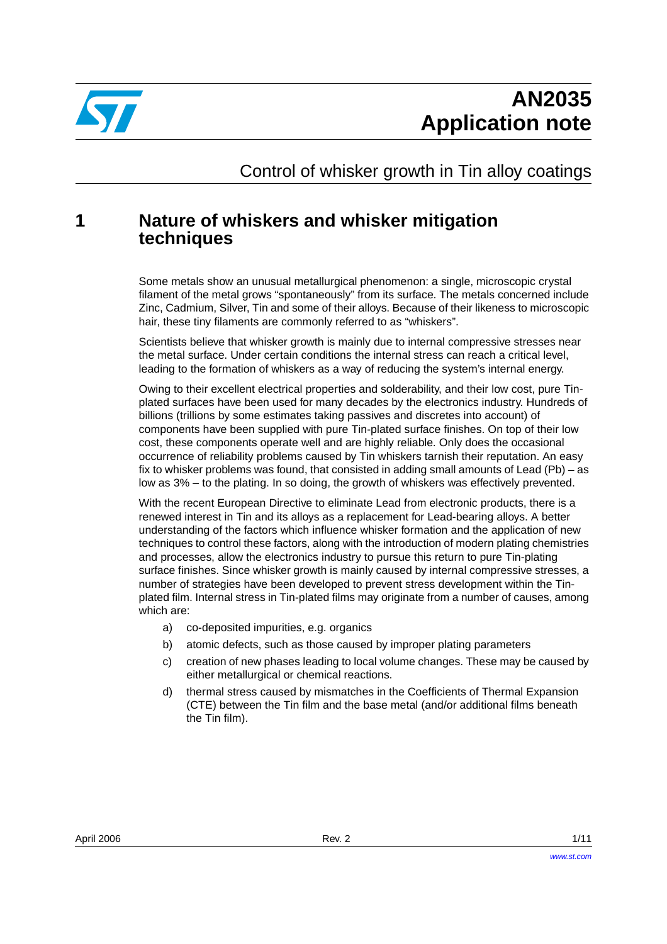

Control of whisker growth in Tin alloy coatings

## <span id="page-0-1"></span><span id="page-0-0"></span>**1 Nature of whiskers and whisker mitigation techniques**

Some metals show an unusual metallurgical phenomenon: a single, microscopic crystal filament of the metal grows "spontaneously" from its surface. The metals concerned include Zinc, Cadmium, Silver, Tin and some of their alloys. Because of their likeness to microscopic hair, these tiny filaments are commonly referred to as "whiskers".

Scientists believe that whisker growth is mainly due to internal compressive stresses near the metal surface. Under certain conditions the internal stress can reach a critical level, leading to the formation of whiskers as a way of reducing the system's internal energy.

Owing to their excellent electrical properties and solderability, and their low cost, pure Tinplated surfaces have been used for many decades by the electronics industry. Hundreds of billions (trillions by some estimates taking passives and discretes into account) of components have been supplied with pure Tin-plated surface finishes. On top of their low cost, these components operate well and are highly reliable. Only does the occasional occurrence of reliability problems caused by Tin whiskers tarnish their reputation. An easy fix to whisker problems was found, that consisted in adding small amounts of Lead (Pb) – as low as 3% – to the plating. In so doing, the growth of whiskers was effectively prevented.

With the recent European Directive to eliminate Lead from electronic products, there is a renewed interest in Tin and its alloys as a replacement for Lead-bearing alloys. A better understanding of the factors which influence whisker formation and the application of new techniques to control these factors, along with the introduction of modern plating chemistries and processes, allow the electronics industry to pursue this return to pure Tin-plating surface finishes. Since whisker growth is mainly caused by internal compressive stresses, a number of strategies have been developed to prevent stress development within the Tinplated film. Internal stress in Tin-plated films may originate from a number of causes, among which are:

- a) co-deposited impurities, e.g. organics
- b) atomic defects, such as those caused by improper plating parameters
- c) creation of new phases leading to local volume changes. These may be caused by either metallurgical or chemical reactions.
- d) thermal stress caused by mismatches in the Coefficients of Thermal Expansion (CTE) between the Tin film and the base metal (and/or additional films beneath the Tin film).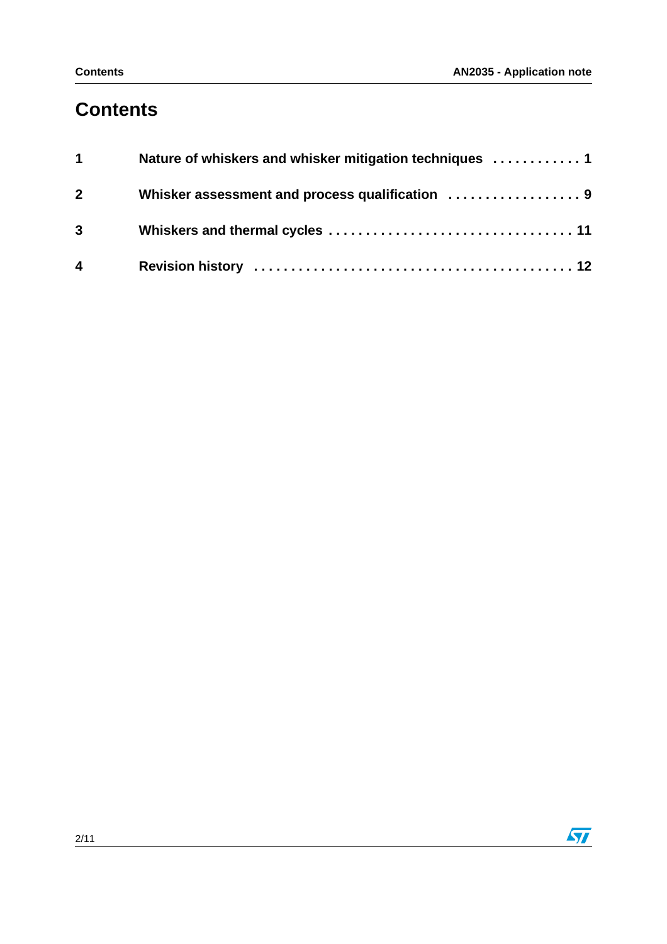## **Contents**

| $1 \quad \blacksquare$  | Nature of whiskers and whisker mitigation techniques  1 |
|-------------------------|---------------------------------------------------------|
| $\overline{\mathbf{2}}$ |                                                         |
| $3 \quad \blacksquare$  |                                                         |
| $\overline{4}$          |                                                         |

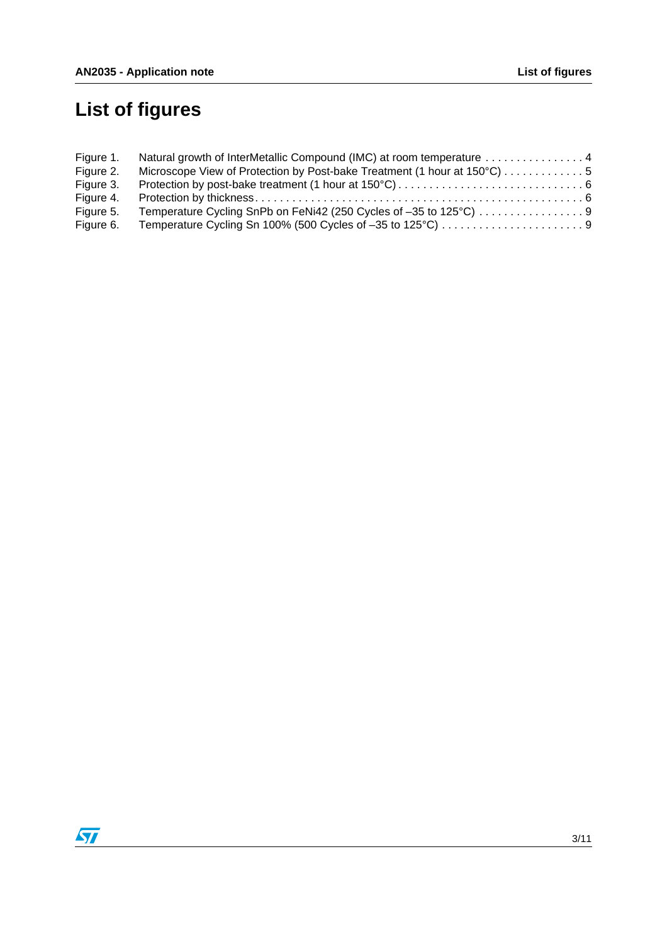# **List of figures**

| Figure 1. | Natural growth of InterMetallic Compound (IMC) at room temperature  4    |  |
|-----------|--------------------------------------------------------------------------|--|
| Figure 2. | Microscope View of Protection by Post-bake Treatment (1 hour at 150°C) 5 |  |
| Figure 3. |                                                                          |  |
| Figure 4. |                                                                          |  |
| Figure 5. |                                                                          |  |
| Figure 6. |                                                                          |  |

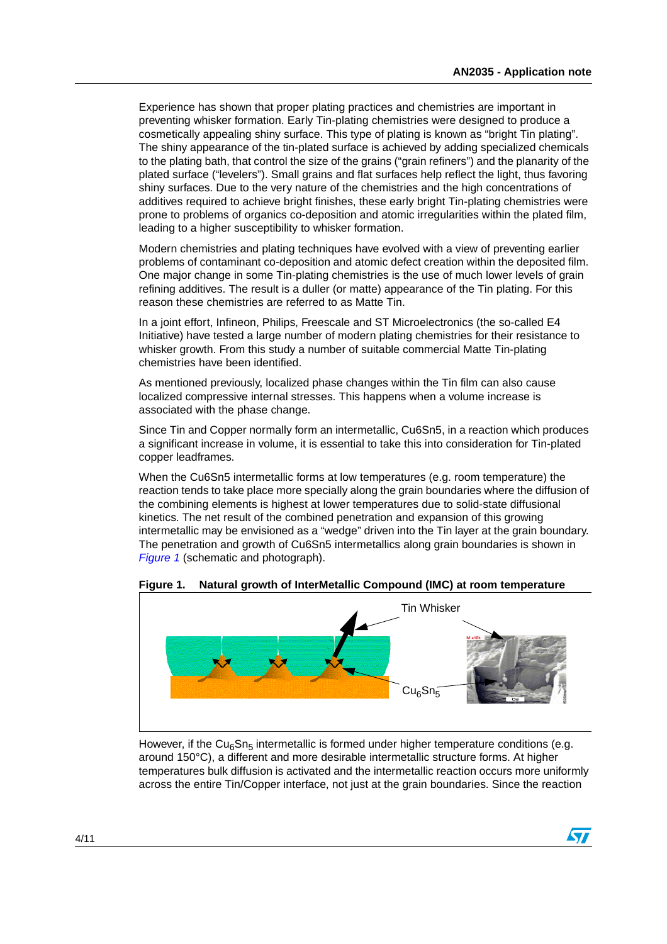Experience has shown that proper plating practices and chemistries are important in preventing whisker formation. Early Tin-plating chemistries were designed to produce a cosmetically appealing shiny surface. This type of plating is known as "bright Tin plating". The shiny appearance of the tin-plated surface is achieved by adding specialized chemicals to the plating bath, that control the size of the grains ("grain refiners") and the planarity of the plated surface ("levelers"). Small grains and flat surfaces help reflect the light, thus favoring shiny surfaces. Due to the very nature of the chemistries and the high concentrations of additives required to achieve bright finishes, these early bright Tin-plating chemistries were prone to problems of organics co-deposition and atomic irregularities within the plated film, leading to a higher susceptibility to whisker formation.

Modern chemistries and plating techniques have evolved with a view of preventing earlier problems of contaminant co-deposition and atomic defect creation within the deposited film. One major change in some Tin-plating chemistries is the use of much lower levels of grain refining additives. The result is a duller (or matte) appearance of the Tin plating. For this reason these chemistries are referred to as Matte Tin.

In a joint effort, Infineon, Philips, Freescale and ST Microelectronics (the so-called E4 Initiative) have tested a large number of modern plating chemistries for their resistance to whisker growth. From this study a number of suitable commercial Matte Tin-plating chemistries have been identified.

As mentioned previously, localized phase changes within the Tin film can also cause localized compressive internal stresses. This happens when a volume increase is associated with the phase change.

Since Tin and Copper normally form an intermetallic, Cu6Sn5, in a reaction which produces a significant increase in volume, it is essential to take this into consideration for Tin-plated copper leadframes.

When the Cu6Sn5 intermetallic forms at low temperatures (e.g. room temperature) the reaction tends to take place more specially along the grain boundaries where the diffusion of the combining elements is highest at lower temperatures due to solid-state diffusional kinetics. The net result of the combined penetration and expansion of this growing intermetallic may be envisioned as a "wedge" driven into the Tin layer at the grain boundary. The penetration and growth of Cu6Sn5 intermetallics along grain boundaries is shown in [Figure 1](#page-3-0) (schematic and photograph).



<span id="page-3-0"></span>**Figure 1. Natural growth of InterMetallic Compound (IMC) at room temperature**

However, if the Cu<sub>6</sub>Sn<sub>5</sub> intermetallic is formed under higher temperature conditions (e.g. around 150°C), a different and more desirable intermetallic structure forms. At higher temperatures bulk diffusion is activated and the intermetallic reaction occurs more uniformly across the entire Tin/Copper interface, not just at the grain boundaries. Since the reaction

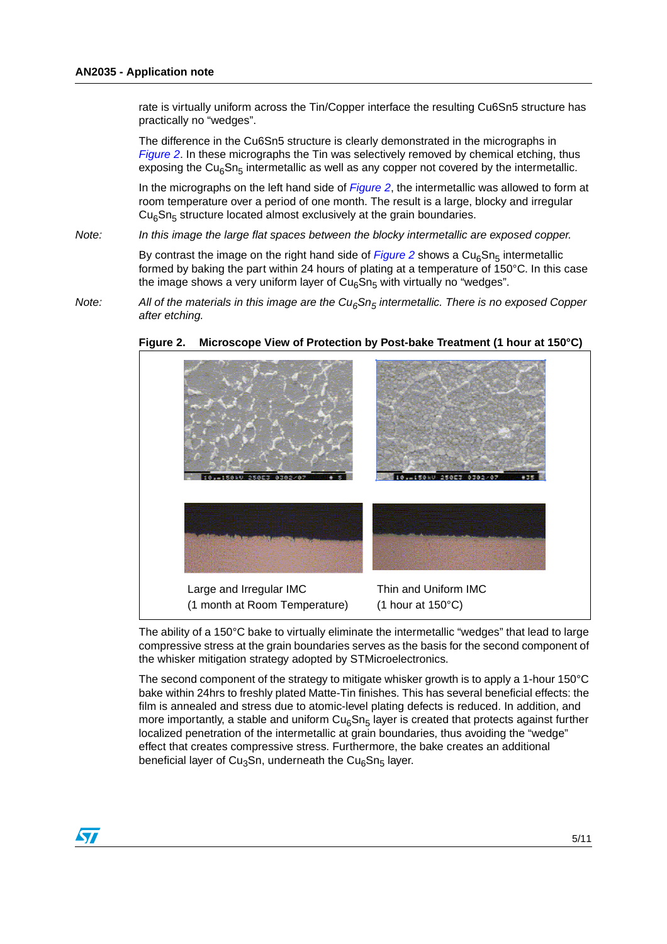rate is virtually uniform across the Tin/Copper interface the resulting Cu6Sn5 structure has practically no "wedges".

The difference in the Cu6Sn5 structure is clearly demonstrated in the micrographs in [Figure 2](#page-4-0). In these micrographs the Tin was selectively removed by chemical etching, thus exposing the Cu<sub>6</sub>Sn<sub>5</sub> intermetallic as well as any copper not covered by the intermetallic.

In the micrographs on the left hand side of  $Figure 2$ , the intermetallic was allowed to form at room temperature over a period of one month. The result is a large, blocky and irregular  $Cu<sub>6</sub>Sn<sub>5</sub>$  structure located almost exclusively at the grain boundaries.

Note: In this image the large flat spaces between the blocky intermetallic are exposed copper.

By contrast the image on the right hand side of [Figure 2](#page-4-0) shows a  $Cu<sub>6</sub>Sn<sub>5</sub>$  intermetallic formed by baking the part within 24 hours of plating at a temperature of 150°C. In this case the image shows a very uniform layer of  $Cu<sub>6</sub>Sn<sub>5</sub>$  with virtually no "wedges".

Note: All of the materials in this image are the  $Cu<sub>6</sub>Sn<sub>5</sub>$  intermetallic. There is no exposed Copper after etching.



<span id="page-4-0"></span>**Figure 2. Microscope View of Protection by Post-bake Treatment (1 hour at 150°C)**

The ability of a 150°C bake to virtually eliminate the intermetallic "wedges" that lead to large compressive stress at the grain boundaries serves as the basis for the second component of the whisker mitigation strategy adopted by STMicroelectronics.

The second component of the strategy to mitigate whisker growth is to apply a 1-hour 150°C bake within 24hrs to freshly plated Matte-Tin finishes. This has several beneficial effects: the film is annealed and stress due to atomic-level plating defects is reduced. In addition, and more importantly, a stable and uniform  $Cu<sub>6</sub>Sn<sub>5</sub>$  layer is created that protects against further localized penetration of the intermetallic at grain boundaries, thus avoiding the "wedge" effect that creates compressive stress. Furthermore, the bake creates an additional beneficial layer of Cu<sub>3</sub>Sn, underneath the Cu<sub>6</sub>Sn<sub>5</sub> layer.

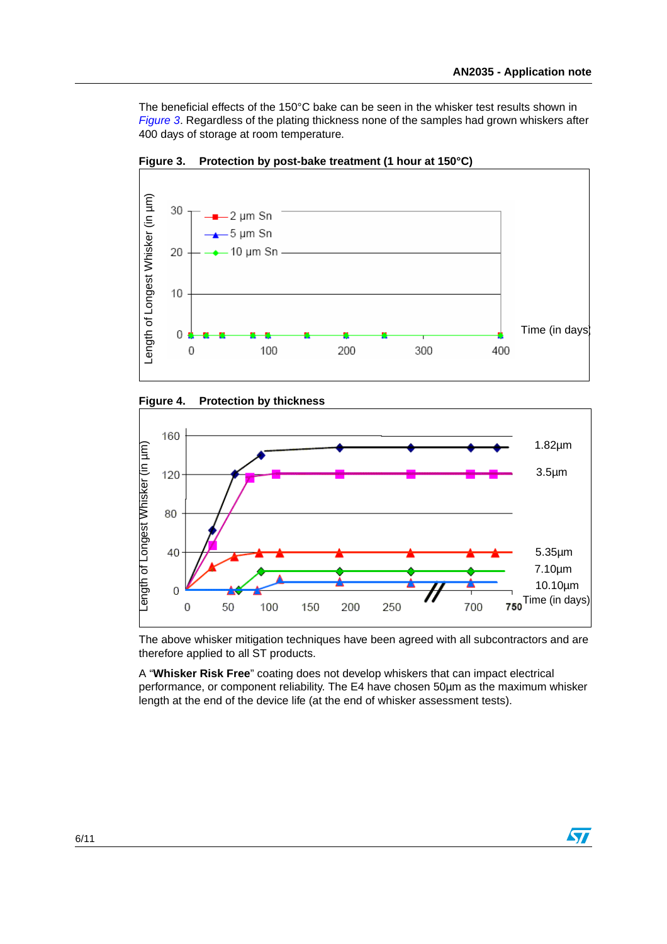The beneficial effects of the 150°C bake can be seen in the whisker test results shown in [Figure 3](#page-5-0). Regardless of the plating thickness none of the samples had grown whiskers after 400 days of storage at room temperature.



<span id="page-5-0"></span>**Figure 3. Protection by post-bake treatment (1 hour at 150°C)**

<span id="page-5-1"></span>



The above whisker mitigation techniques have been agreed with all subcontractors and are therefore applied to all ST products.

A "**Whisker Risk Free**" coating does not develop whiskers that can impact electrical performance, or component reliability. The E4 have chosen 50µm as the maximum whisker length at the end of the device life (at the end of whisker assessment tests).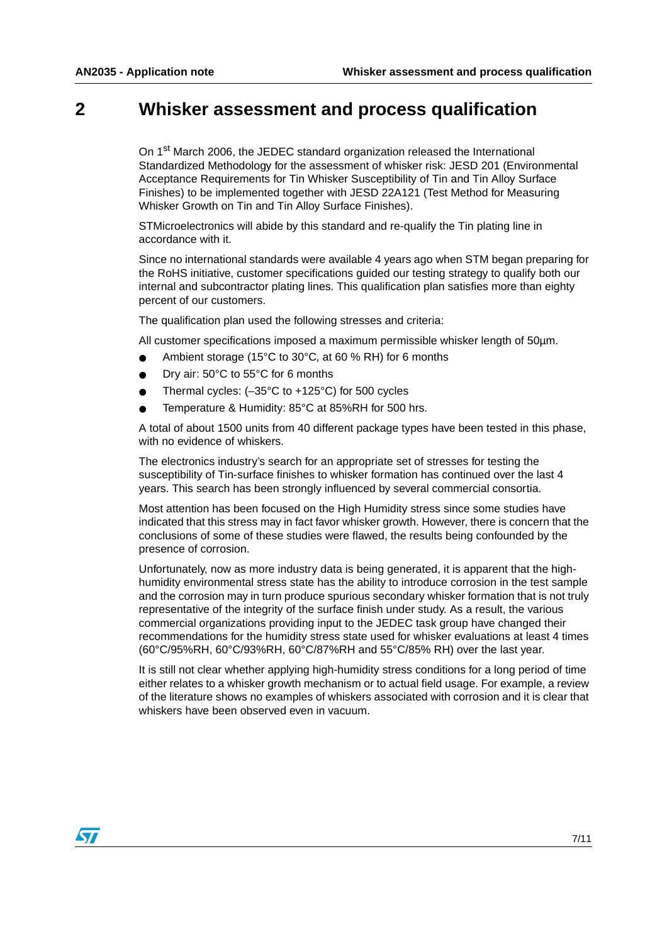## <span id="page-6-0"></span>**2 Whisker assessment and process qualification**

On 1<sup>st</sup> March 2006, the JEDEC standard organization released the International Standardized Methodology for the assessment of whisker risk: JESD 201 (Environmental Acceptance Requirements for Tin Whisker Susceptibility of Tin and Tin Alloy Surface Finishes) to be implemented together with JESD 22A121 (Test Method for Measuring Whisker Growth on Tin and Tin Alloy Surface Finishes).

STMicroelectronics will abide by this standard and re-qualify the Tin plating line in accordance with it.

Since no international standards were available 4 years ago when STM began preparing for the RoHS initiative, customer specifications guided our testing strategy to qualify both our internal and subcontractor plating lines. This qualification plan satisfies more than eighty percent of our customers.

The qualification plan used the following stresses and criteria:

All customer specifications imposed a maximum permissible whisker length of 50µm.

- Ambient storage (15°C to 30°C, at 60 % RH) for 6 months
- Dry air: 50°C to 55°C for 6 months
- Thermal cycles:  $(-35^{\circ}C$  to  $+125^{\circ}C)$  for 500 cycles
- Temperature & Humidity: 85°C at 85%RH for 500 hrs.

A total of about 1500 units from 40 different package types have been tested in this phase, with no evidence of whiskers.

The electronics industry's search for an appropriate set of stresses for testing the susceptibility of Tin-surface finishes to whisker formation has continued over the last 4 years. This search has been strongly influenced by several commercial consortia.

Most attention has been focused on the High Humidity stress since some studies have indicated that this stress may in fact favor whisker growth. However, there is concern that the conclusions of some of these studies were flawed, the results being confounded by the presence of corrosion.

Unfortunately, now as more industry data is being generated, it is apparent that the highhumidity environmental stress state has the ability to introduce corrosion in the test sample and the corrosion may in turn produce spurious secondary whisker formation that is not truly representative of the integrity of the surface finish under study. As a result, the various commercial organizations providing input to the JEDEC task group have changed their recommendations for the humidity stress state used for whisker evaluations at least 4 times (60°C/95%RH, 60°C/93%RH, 60°C/87%RH and 55°C/85% RH) over the last year.

It is still not clear whether applying high-humidity stress conditions for a long period of time either relates to a whisker growth mechanism or to actual field usage. For example, a review of the literature shows no examples of whiskers associated with corrosion and it is clear that whiskers have been observed even in vacuum.

**ST**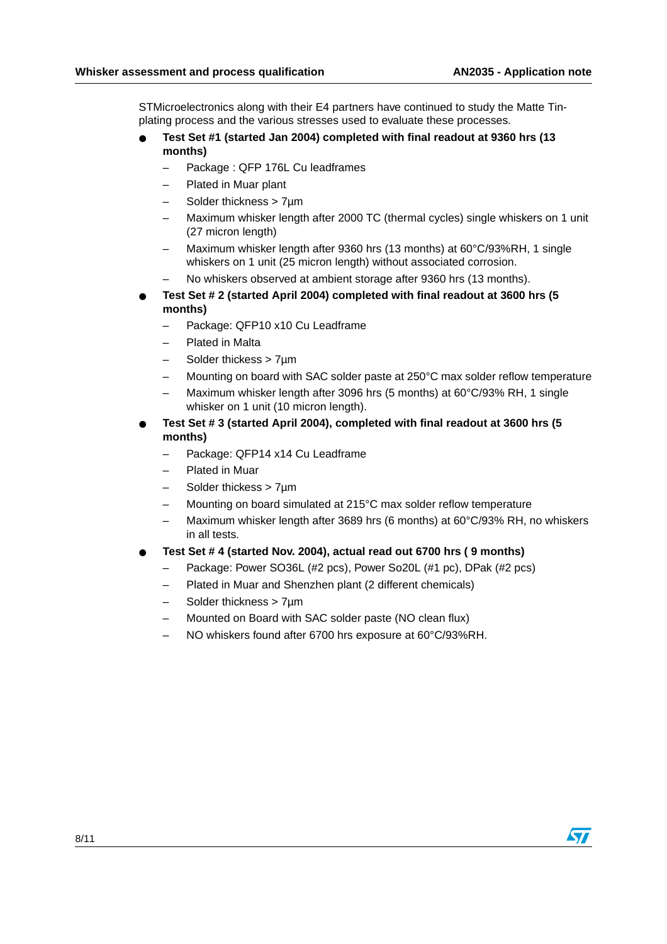STMicroelectronics along with their E4 partners have continued to study the Matte Tinplating process and the various stresses used to evaluate these processes.

- **Test Set #1 (started Jan 2004) completed with final readout at 9360 hrs (13 months)**
	- Package : QFP 176L Cu leadframes
	- Plated in Muar plant
	- Solder thickness > 7um
	- Maximum whisker length after 2000 TC (thermal cycles) single whiskers on 1 unit (27 micron length)
	- Maximum whisker length after 9360 hrs (13 months) at 60°C/93%RH, 1 single whiskers on 1 unit (25 micron length) without associated corrosion.
	- No whiskers observed at ambient storage after 9360 hrs (13 months).
- **Test Set # 2 (started April 2004) completed with final readout at 3600 hrs (5 months)**
	- Package: QFP10 x10 Cu Leadframe
	- Plated in Malta
	- Solder thickess > 7µm
	- Mounting on board with SAC solder paste at 250°C max solder reflow temperature
	- Maximum whisker length after 3096 hrs (5 months) at 60°C/93% RH, 1 single whisker on 1 unit (10 micron length).
- **Test Set # 3 (started April 2004), completed with final readout at 3600 hrs (5 months)**
	- Package: QFP14 x14 Cu Leadframe
	- Plated in Muar
	- Solder thickess > 7µm
	- Mounting on board simulated at 215°C max solder reflow temperature
	- Maximum whisker length after 3689 hrs (6 months) at 60°C/93% RH, no whiskers in all tests.
- **Test Set # 4 (started Nov. 2004), actual read out 6700 hrs ( 9 months)**
	- Package: Power SO36L (#2 pcs), Power So20L (#1 pc), DPak (#2 pcs)
	- Plated in Muar and Shenzhen plant (2 different chemicals)
	- Solder thickness > 7um
	- Mounted on Board with SAC solder paste (NO clean flux)
	- NO whiskers found after 6700 hrs exposure at 60°C/93%RH.



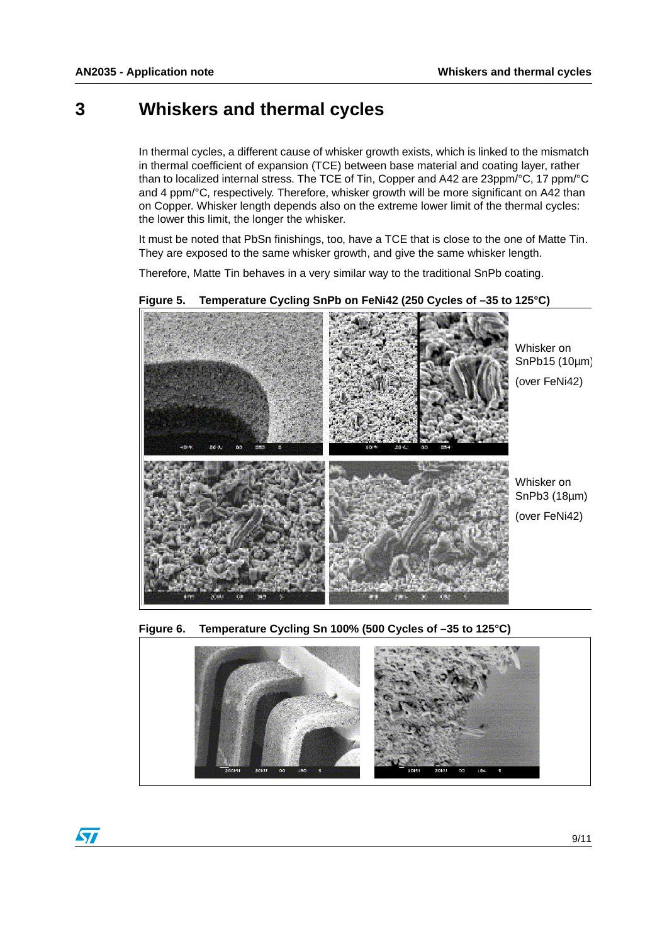### <span id="page-8-0"></span>**3 Whiskers and thermal cycles**

In thermal cycles, a different cause of whisker growth exists, which is linked to the mismatch in thermal coefficient of expansion (TCE) between base material and coating layer, rather than to localized internal stress. The TCE of Tin, Copper and A42 are 23ppm/°C, 17 ppm/°C and 4 ppm/°C, respectively. Therefore, whisker growth will be more significant on A42 than on Copper. Whisker length depends also on the extreme lower limit of the thermal cycles: the lower this limit, the longer the whisker.

It must be noted that PbSn finishings, too, have a TCE that is close to the one of Matte Tin. They are exposed to the same whisker growth, and give the same whisker length.

Therefore, Matte Tin behaves in a very similar way to the traditional SnPb coating.



#### <span id="page-8-1"></span>**Figure 5. Temperature Cycling SnPb on FeNi42 (250 Cycles of –35 to 125°C)**

<span id="page-8-2"></span>**Figure 6. Temperature Cycling Sn 100% (500 Cycles of –35 to 125°C)**



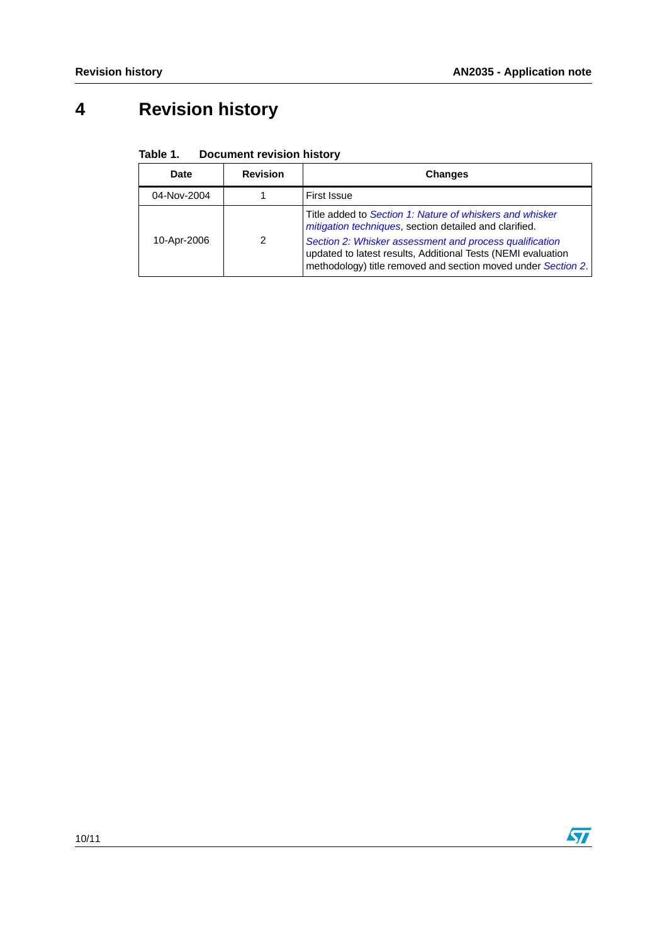# <span id="page-9-0"></span>**4 Revision history**

| <b>Date</b> | <b>Revision</b> | <b>Changes</b>                                                                                                                                                                |
|-------------|-----------------|-------------------------------------------------------------------------------------------------------------------------------------------------------------------------------|
| 04-Nov-2004 |                 | First Issue                                                                                                                                                                   |
| 10-Apr-2006 | $\mathcal{P}$   | Title added to Section 1: Nature of whiskers and whisker<br>mitigation techniques, section detailed and clarified.<br>Section 2: Whisker assessment and process qualification |
|             |                 | updated to latest results, Additional Tests (NEMI evaluation<br>methodology) title removed and section moved under Section 2.                                                 |

#### Table 1. **Document revision history**